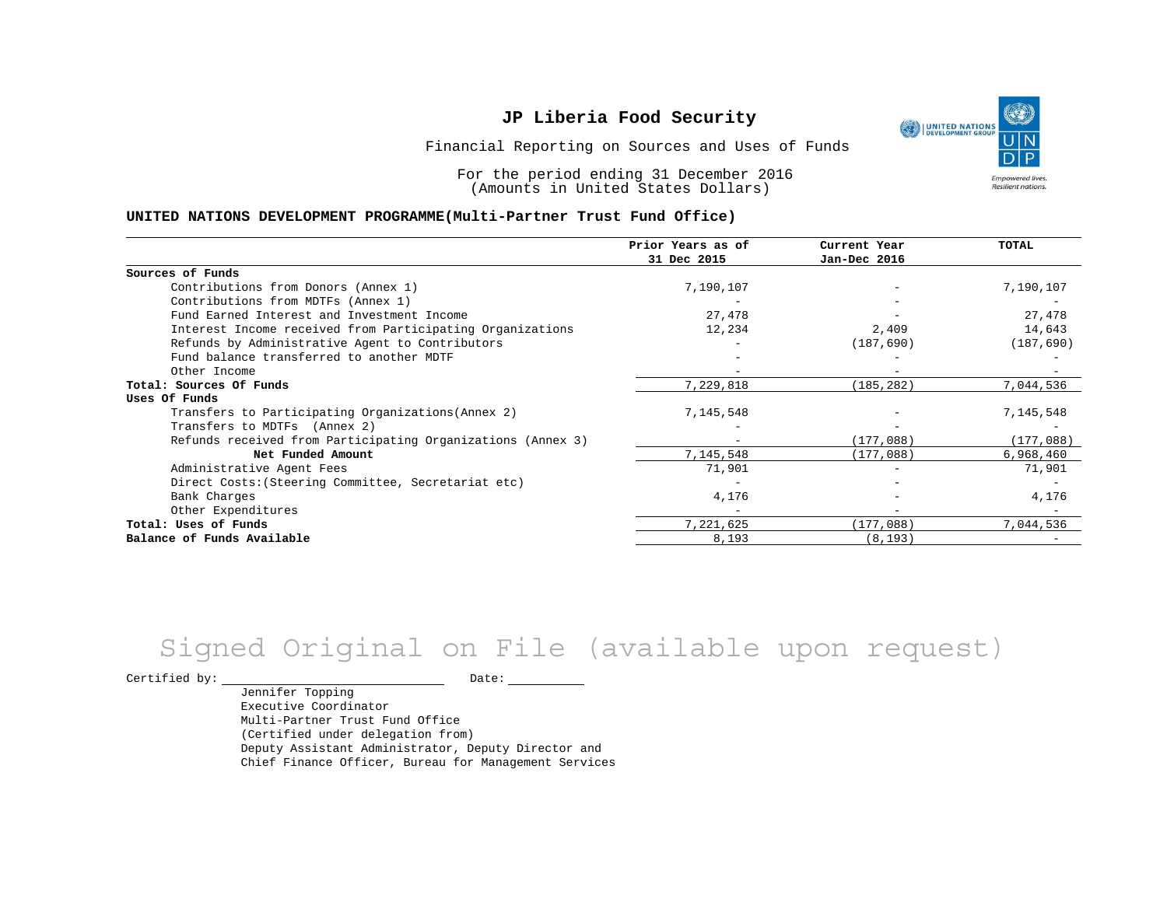٣ UNITED NATIONS **Empowered lives** Resilient nations.

Financial Reporting on Sources and Uses of Funds

For the period ending 31 December 2016 (Amounts in United States Dollars)

#### **UNITED NATIONS DEVELOPMENT PROGRAMME(Multi-Partner Trust Fund Office)**

|                                                             | Prior Years as of<br>31 Dec 2015 | Current Year<br>Jan-Dec 2016 | <b>TOTAL</b> |
|-------------------------------------------------------------|----------------------------------|------------------------------|--------------|
|                                                             |                                  |                              |              |
| Sources of Funds                                            |                                  |                              |              |
| Contributions from Donors (Annex 1)                         | 7,190,107                        |                              | 7,190,107    |
| Contributions from MDTFs (Annex 1)                          |                                  |                              |              |
| Fund Earned Interest and Investment Income                  | 27,478                           |                              | 27,478       |
| Interest Income received from Participating Organizations   | 12,234                           | 2,409                        | 14,643       |
| Refunds by Administrative Agent to Contributors             |                                  | (187, 690)                   | (187, 690)   |
| Fund balance transferred to another MDTF                    |                                  |                              |              |
| Other Income                                                |                                  |                              |              |
| Total: Sources Of Funds                                     | 7,229,818                        | (185, 282)                   | 7,044,536    |
| Uses Of Funds                                               |                                  |                              |              |
| Transfers to Participating Organizations (Annex 2)          | 7,145,548                        |                              | 7,145,548    |
| Transfers to MDTFs (Annex 2)                                |                                  |                              |              |
| Refunds received from Participating Organizations (Annex 3) | $-$                              | (177,088)                    | (177,088)    |
| Net Funded Amount                                           | 7,145,548                        | (177,088)                    | 6,968,460    |
| Administrative Agent Fees                                   | 71,901                           |                              | 71,901       |
| Direct Costs: (Steering Committee, Secretariat etc)         |                                  |                              |              |
| Bank Charges                                                | 4,176                            |                              | 4,176        |
| Other Expenditures                                          |                                  |                              |              |
| Total: Uses of Funds                                        | 7,221,625                        | (177,088)                    | 7,044,536    |
| Balance of Funds Available                                  | 8,193                            | (8, 193)                     |              |

# Signed Original on File (available upon request)

Certified by: Date:

Jennifer Topping Executive Coordinator Multi-Partner Trust Fund Office (Certified under delegation from) Deputy Assistant Administrator, Deputy Director and Chief Finance Officer, Bureau for Management Services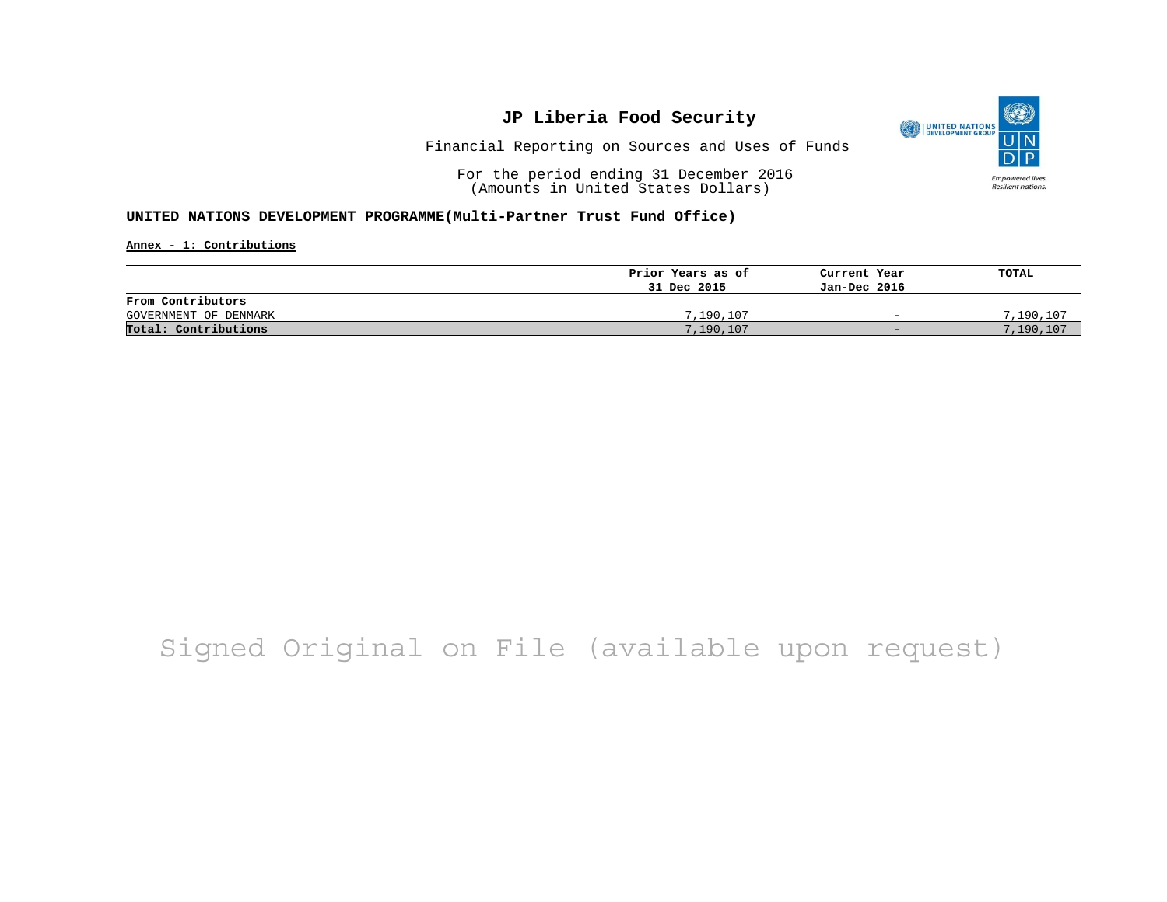

Financial Reporting on Sources and Uses of Funds

For the period ending 31 December 2016 (Amounts in United States Dollars)

### **UNITED NATIONS DEVELOPMENT PROGRAMME(Multi-Partner Trust Fund Office)**

**Annex - 1: Contributions**

|                       | Prior Years as of | Current Year             | TOTAL     |
|-----------------------|-------------------|--------------------------|-----------|
|                       | 31 Dec 2015       | Jan-Dec 2016             |           |
| From Contributors     |                   |                          |           |
| GOVERNMENT OF DENMARK | 7,190,107         | $\overline{\phantom{0}}$ | 7,190,107 |
| Total: Contributions  | 7,190,107         | $-$                      | 7,190,107 |

# Signed Original on File (available upon request)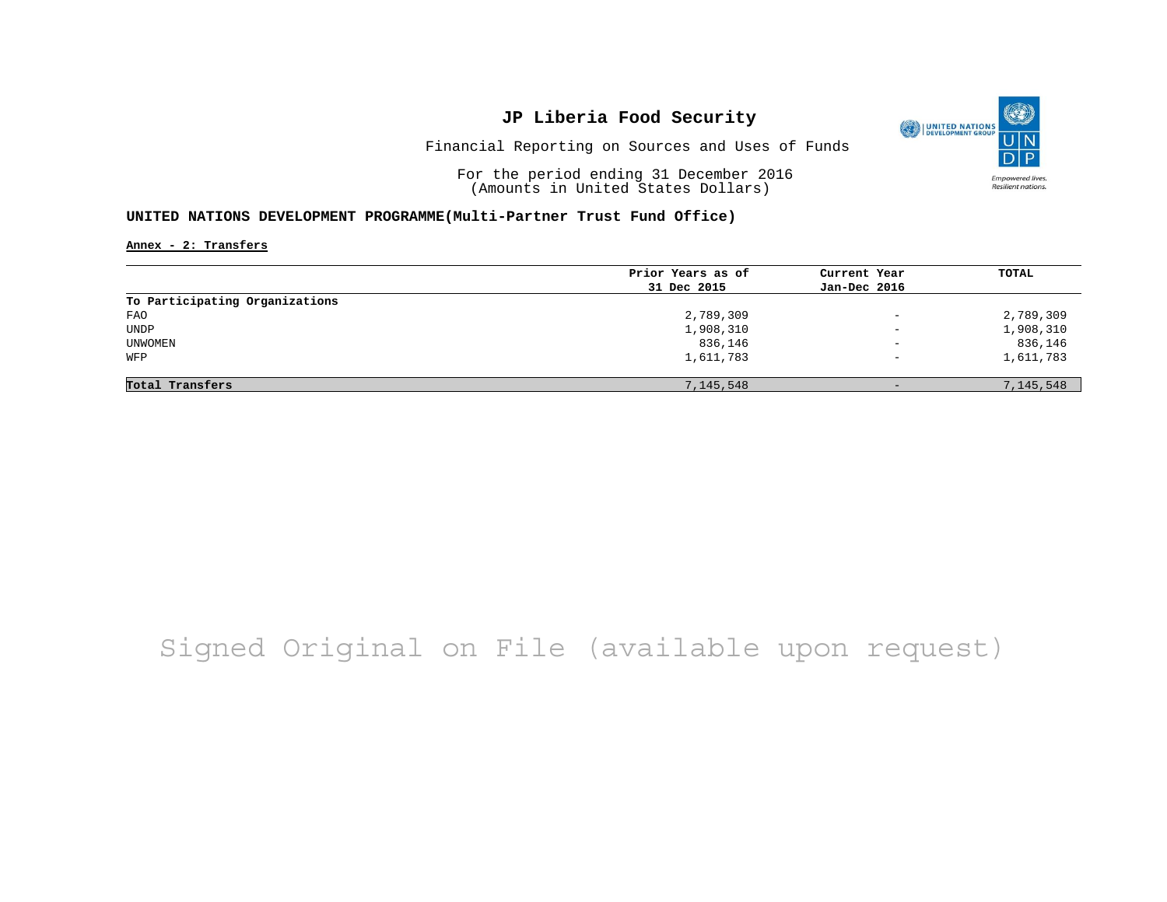

Financial Reporting on Sources and Uses of Funds

For the period ending 31 December 2016 (Amounts in United States Dollars)

### **UNITED NATIONS DEVELOPMENT PROGRAMME(Multi-Partner Trust Fund Office)**

**Annex - 2: Transfers**

|                                | Prior Years as of | Current Year             | <b>TOTAL</b> |
|--------------------------------|-------------------|--------------------------|--------------|
|                                | 31 Dec 2015       | Jan-Dec 2016             |              |
| To Participating Organizations |                   |                          |              |
| FAO                            | 2,789,309         | $\overline{\phantom{0}}$ | 2,789,309    |
| UNDP                           | 1,908,310         | $\overline{\phantom{0}}$ | 1,908,310    |
| UNWOMEN                        | 836,146           | $\overline{\phantom{a}}$ | 836,146      |
| WFP                            | 1,611,783         | $\overline{\phantom{m}}$ | 1,611,783    |
|                                |                   |                          |              |
| Total Transfers                | 7,145,548         | $-$                      | 7,145,548    |

# Signed Original on File (available upon request)